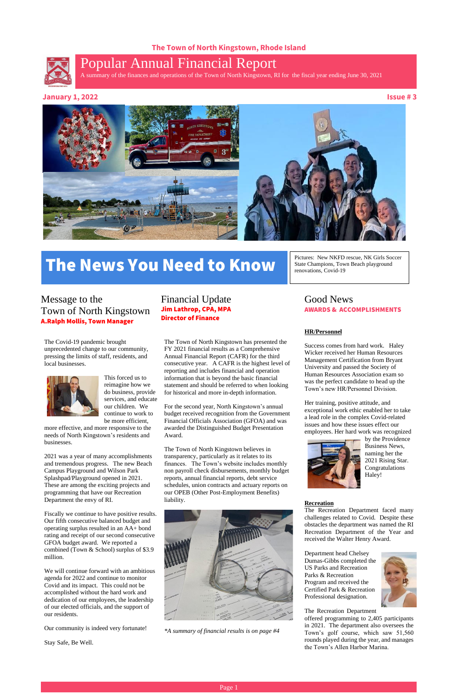### **The Town of North Kingstown, Rhode Island**



# Popular Annual Financial Report

A summary of the finances and operations of the Town of North Kingstown, RI for the fiscal year ending June 30, 2021

#### **January 1, 2022 Issue # 3**



### Financial Update Jim Lathrop, CPA, MPA Director of Finance

Good News

### AWARDS & ACCOMPLISHMENTS

#### **HR/Personnel**

Success comes from hard work. Haley Wicker received her Human Resources Management Certification from Bryant University and passed the Society of Human Resources Association exam so was the perfect candidate to head up the Town's new HR/Personnel Division.

Her training, positive attitude, and exceptional work ethic enabled her to take a lead role in the complex Covid-related issues and how these issues effect our employees. Her hard work was recognized



by the Providence Business News, naming her the 2021 Rising Star. Congratulations Haley!

#### **Recreation**

The Recreation Department faced many

challenges related to Covid. Despite these obstacles the department was named the RI Recreation Department of the Year and received the Walter Henry Award.

Department head Chelsey Dumas-Gibbs completed the US Parks and Recreation Parks & Recreation Program and received the Certified Park & Recreation Professional designation.



The Recreation Department

offered programming to 2,405 participants in 2021. The department also oversees the Town's golf course, which saw 51,560 rounds played during the year, and manages the Town's Allen Harbor Marina.

The Covid-19 pandemic brought unprecedented change to our community, pressing the limits of staff, residents, and local businesses.



This forced us to reimagine how we do business, provide services, and educate our children. We continue to work to be more efficient,

more effective, and more responsive to the needs of North Kingstown's residents and businesses.

# Message to the Town of North Kingstown A.Ralph Mollis, Town Manager

2021 was a year of many accomplishments and tremendous progress. The new Beach Campus Playground and Wilson Park Splashpad/Playground opened in 2021. These are among the exciting projects and programming that have our Recreation Department the envy of RI.

Fiscally we continue to have positive results. Our fifth consecutive balanced budget and operating surplus resulted in an AA+ bond rating and receipt of our second consecutive GFOA budget award. We reported a combined (Town & School) surplus of \$3.9 million.

We will continue forward with an ambitious agenda for 2022 and continue to monitor Covid and its impact. This could not be accomplished without the hard work and dedication of our employees, the leadership of our elected officials, and the support of our residents.

Our community is indeed very fortunate!

Stay Safe, Be Well.



The Town of North Kingstown has presented the FY 2021 financial results as a Comprehensive Annual Financial Report (CAFR) for the third consecutive year. A CAFR is the highest level of reporting and includes financial and operation information that is beyond the basic financial statement and should be referred to when looking for historical and more in-depth information.

For the second year, North Kingstown's annual budget received recognition from the Government Financial Officials Association (GFOA) and was awarded the Distinguished Budget Presentation Award.

The Town of North Kingstown believes in transparency, particularly as it relates to its finances. The Town's website includes monthly non payroll check disbursements, monthly budget reports, annual financial reports, debt service schedules, union contracts and actuary reports on our OPEB (Other Post-Employment Benefits) liability.

*\*A summary of financial results is on page #4*

# The News You Need to Know

Pictures: New NKFD rescue, NK Girls Soccer State Champions, Town Beach playground

renovations, Covid-19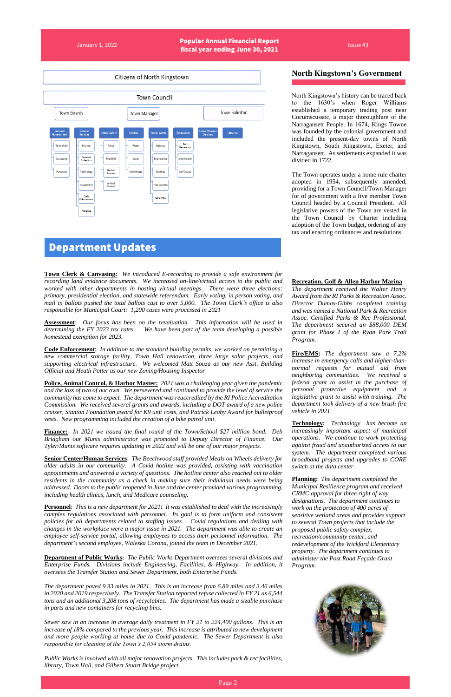January 1, 2022 Popular Annual Financial Report Fiscal year ending June 30, 2021



#### **North Kingstown's Government**

North Kingstown's history can be traced back to the 1630's when Roger Williams established a temporary trading post near Cocumscussoc, a major thoroughfare of the Narragansett People. In 1674, Kings Towne was founded by the colonial government and included the present-day towns of North Kingstown, South Kingstown, Exeter, and Narragansett. As settlements expanded it was divided in 1722.

The Town operates under a home rule charter adopted in 1954, subsequently amended, providing for a Town Council/Town Manager for of government with a five member Town Council headed by a Council President. All legislative powers of the Town are vested in the Town Council by Charter including adoption of the Town budget, ordering of any tax and enacting ordinances and resolutions.

#### **Recreation, Golf & Allen Harbor Marina**

*The department received the Walter Henry Award from the RI Parks & Recreation Assoc. Director Dumas-Gibbs completed training and was named a National Park & Recreation Assoc. Certified Parks & Rec Professional. The department secured an \$88,000 DEM grant for Phase I of the Ryan Park Trail Program.* 

**Fire/EMS:** *The department saw a 7.2% increase in emergency calls and higher-thannormal requests for mutual aid from neighboring communities. We received a federal grant to assist in the purchase of personal protective equipment and a legislative grant to assist with training. The department took delivery of a new brush fire vehicle in 2021*

**Technology:** *Technology has become an increasingly important aspect of municipal operations. We continue to work protecting against fraud and unauthorized access to our system. The department completed various broadband projects and upgrades to CORE switch at the data center.* 

**Planning:** *The department completed the Municipal Resilience program and received CRMC approval for three right of way designations. The department continues to work on the protection of 400 acres of sensitive wetland areas and provides support to several Town projects that include the proposed public safety complex, recreation/community center, and redevelopment of the Wickford Elementary property. The department continues to administer the Post Road Façade Grant Program.* 

**Town Clerk & Canvasing:** *We introduced E-recording to provide a safe environment for recording land evidence documents. We increased on-line/virtual access to the public and worked with other departments in hosting virtual meetings. There were three elections: primary, presidential election, and statewide referendum. Early voting, in person voting, and mail in ballots pushed the total ballots cast to over 5,000. The Town Clerk's office is also responsible for Municipal Court: 1,200 cases were processed in 2021*

**Assessment**: *Our focus has been on the revaluation. This information will be used in determining the FY 2023 tax rates. We have been part of the team developing a possible homestead exemption for 2023.*

**Code Enforcement**: *In addition to the standard building permits, we worked on permitting a new commercial storage facility, Town Hall renovation, three large solar projects, and supporting electrical infrastructure. We welcomed Matt Souza as our new Asst. Building Official and Heath Potter as our new Zoning/Housing Inspector*

**Police, Animal Control, & Harbor Master:** *2021 was a challenging year given the pandemic and the loss of two of our own. We persevered and continued to provide the level of service the community has come to expect. The department was reaccredited by the RI Police Accreditation Commission. We received several grants and awards, including a DOT award of a new police cruiser, Stanton Foundation award for K9 unit costs, and Patrick Leahy Award for bulletproof vests. New programming included the creation of a bike patrol unit.* 

**Finance:** *In 2021 we issued the final round of the Town/School \$27 million bond. Deb Bridgham our Munis administrator was promoted to Deputy Director of Finance. Our Tyler/Munis software requires updating in 2022 and will be one of our major projects.* 

**Senior Center/Human Services**: *The Beechwood staff provided Meals on Wheels delivery for older adults in our community. A Covid hotline was provided, assisting with vaccination appointments and answered a variety of questions. The hotline center also reached out to older residents in the community as a check in making sure their individual needs were being addressed. Doors to the public reopened in June and the center provided various programming, including health clinics, lunch, and Medicare counseling.* 

**Personnel**: *This is a new department for 2021! It was established to deal with the increasingly*

*complex regulations associated with personnel. Its goal is to form uniform and consistent policies for all departments related to staffing issues. Covid regulations and dealing with changes in the workplace were a major issue in 2021. The department was able to create an employee self-service portal, allowing employees to access their personnel information. The department's second employee, Waleska Corona, joined the team in December 2021.*

**Department of Public Works:** *The Public Works Department oversees several divisions and Enterprise Funds. Divisions include Engineering, Facilities, & Highway. In addition, it oversees the Transfer Station and Sewer Department, both Enterprise Funds.* 

*The department paved 9.33 miles in 2021. This is an increase from 6.89 miles and 3.46 miles in 2020 and 2019 respectively. The Transfer Station reported refuse collected in FY 21 as 6,544 tons and an additional 3,208 tons of recyclables. The department has made a sizable purchase in parts and new containers for recycling bins.* 

*Sewer saw in an increase in average daily treatment in FY 21 to 224,400 gallons. This is an increase of 18% compared to the previous year. This increase is attributed to new development and more people working at home due to Covid pandemic. The Sewer Department is also responsible for cleaning of the Town's 2,054 storm drains.* 

*Public Works is involved with all major renovation projects. This includes park & rec facilities, library, Town Hall, and Gilbert Stuart Bridge project.* 





# Department Updates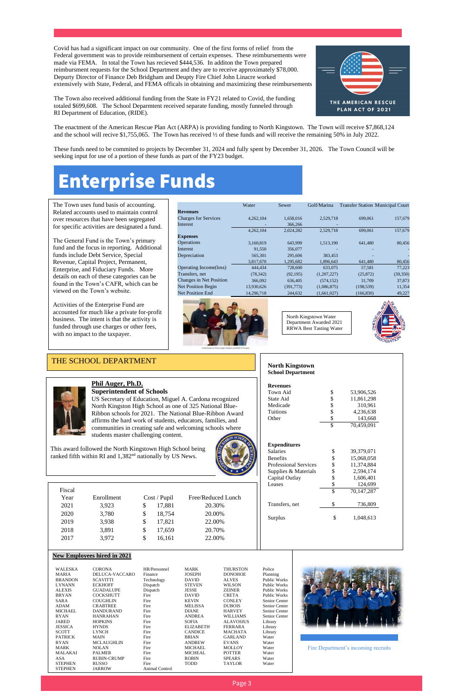Covid has had a significant impact on our community. One of the first forms of relief from the Federal government was to provide reimbursement of certain expenses. These reimbursements were made via FEMA. In total the Town has recieved \$444,536. In additon the Town prepared reimbursment requests for the School Department and they are to receive approximately \$78,000. . Depurty Director of Finance Deb Bridgham and Deupty Fire Chief John Linacre worked extensively with State, Federal, and FEMA officals in obtaining and maximizing these reimbursements



The Town also received additional funding from the State in FY21 related to Covid, the funding totaled \$699,608. The School Deparmtent received separate funding, mostly funneled through RI Department of Education, (RIDE).

The enactment of the American Rescue Plan Act (ARPA) is providing funding to North Kingstown. The Town will receive \$7,868,124 and the school will recive \$1,755,065. The Town has received ½ of these funds and will receive the remaining 50% in July 2022.

These funds need to be commited to projects by December 31, 2024 and fully spent by December 31, 2026. The Town Council will be seeking input for use of a portion of these funds as part of the FY23 budget.

|                                | Water      | Sewer      | Golf/Marina |            | <b>Transfer Station Municipal Court</b> |
|--------------------------------|------------|------------|-------------|------------|-----------------------------------------|
| <b>Revenues</b>                |            |            |             |            |                                         |
| <b>Charges for Services</b>    | 4,262,104  | 1,658,016  | 2,529,718   | 699,061    | 157,679                                 |
| Interest                       |            | 366,266    |             |            |                                         |
|                                | 4,262,104  | 2,024,282  | 2,529,718   | 699,061    | 157,679                                 |
| <b>Expenses</b>                |            |            |             |            |                                         |
| <b>Operations</b>              | 3,160,819  | 643,999    | 1,513,190   | 641,480    | 80,456                                  |
| Interest                       | 91,550     | 356,077    |             |            |                                         |
| Depreciation                   | 565,301    | 295,606    | 383,453     |            |                                         |
|                                | 3,817,670  | 1,295,682  | 1,896,643   | 641,480    | 80,456                                  |
| Operating Income(loss)         | 444,434    | 728,600    | 633,075     | 57,581     | 77,223                                  |
| Transfers, net                 | (78, 342)  | (92, 195)  | (1,207,227) | (25, 872)  | (39, 350)                               |
| <b>Changes in Net Position</b> | 366,092    | 636,405    | (574, 152)  | 31,709     | 37,873                                  |
| <b>Net Position Begin</b>      | 13,930,626 | (391, 773) | (1,086,875) | (198, 539) | 11,354                                  |
| <b>Net Position End</b>        | 14,296,718 | 244,632    | (1,661,027) | (166, 830) | 49,227                                  |





The Town uses fund basis of accounting. Related accounts used to maintain control over resources that have been segregated for specific activities are designated a fund.

The General Fund is the Town's primary fund and the focus in reporting. Additional funds include Debt Service, Special Revenue, Capital Project, Permanent, Enterprise, and Fiduciary Funds. More details on each of these categories can be found in the Town's CAFR, which can be viewed on the Town's website.

Activities of the Enterprise Fund are accounted for much like a private for-profit business. The intent is that the activity is funded through use charges or other fees, with no impact to the taxpayer.

North Kingstown Water Department Awarded 2021 RRWA Best Tasting Water



#### **North Kingstown School Department**

# **Phil Auger, Ph.D.**



| Fiscal |
|--------|
| Year   |
|        |

- 
- 
- 

| <u>Pnil Auger, Pn.D.</u>        |                                                                       |              |                        |                                  | <b>Revenues</b>               |                              |  |                                     |
|---------------------------------|-----------------------------------------------------------------------|--------------|------------------------|----------------------------------|-------------------------------|------------------------------|--|-------------------------------------|
|                                 | <b>Superintendent of Schools</b>                                      |              |                        |                                  |                               | Town Aid                     |  | \$<br>53,906,526                    |
|                                 | US Secretary of Education, Miguel A. Cardona recognized               |              |                        |                                  |                               | State Aid                    |  | \$<br>11,861,298                    |
|                                 | North Kingston High School as one of 325 National Blue-               |              |                        |                                  |                               | Medicade                     |  | \$<br>310,961                       |
|                                 | Ribbon schools for 2021. The National Blue-Ribbon Award               |              |                        |                                  |                               |                              |  | \$<br>4,236,638                     |
|                                 | affirms the hard work of students, educators, families, and           |              |                        |                                  |                               | Other                        |  | \$<br>143,668                       |
|                                 |                                                                       |              |                        |                                  |                               |                              |  | \$<br>70,459,091                    |
|                                 | communities in creating safe and welcoming schools where              |              |                        |                                  |                               |                              |  |                                     |
|                                 | students master challenging content.                                  |              |                        |                                  |                               |                              |  |                                     |
|                                 |                                                                       |              |                        |                                  |                               | <b>Expenditures</b>          |  |                                     |
|                                 | This award followed the North Kingstown High School being             |              |                        |                                  |                               | <b>Salaries</b>              |  | \$<br>39,379,071                    |
|                                 | ranked fifth within RI and 1,382 <sup>nd</sup> nationally by US News. |              |                        |                                  |                               | <b>Benefits</b>              |  | \$<br>15,068,058                    |
|                                 |                                                                       |              |                        |                                  |                               | Professional Services        |  | \$<br>11,374,884                    |
|                                 |                                                                       |              |                        |                                  |                               | Supplies & Materials         |  | \$<br>2,594,174                     |
|                                 |                                                                       |              |                        |                                  |                               | Capital Outlay               |  | \$<br>1,606,401                     |
|                                 |                                                                       |              |                        |                                  |                               | Leases                       |  | \$<br>124,699                       |
| Fiscal                          |                                                                       |              |                        |                                  |                               |                              |  | \$<br>70,147,287                    |
| Year                            | Enrollment                                                            |              | Cost / Pupil           | Free/Reduced Lunch               |                               |                              |  |                                     |
|                                 |                                                                       |              |                        |                                  |                               | Transfers, net               |  | \$<br>736,809                       |
| 2021                            | 3,923                                                                 | \$           | 17,881                 | 20.30%                           |                               |                              |  |                                     |
| 2020                            | 3,780                                                                 | \$           | 18,754                 | 20.00%                           |                               | Surplus                      |  | \$<br>1,048,613                     |
| 2019                            | 3,938                                                                 | \$           | 17,821                 | 22.00%                           |                               |                              |  |                                     |
| 2018                            | 3,891                                                                 | \$           | 17,659                 | 20.70%                           |                               |                              |  |                                     |
|                                 |                                                                       | \$           |                        | 22.00%                           |                               |                              |  |                                     |
| 2017                            | 3,972                                                                 |              | 16,161                 |                                  |                               |                              |  |                                     |
|                                 |                                                                       |              |                        |                                  |                               |                              |  |                                     |
|                                 | <b>New Employees hired in 2021</b>                                    |              |                        |                                  |                               |                              |  |                                     |
|                                 |                                                                       |              |                        |                                  |                               |                              |  |                                     |
| <b>WALESKA</b>                  | <b>CORONA</b>                                                         |              | HR/Personnel           | <b>MARK</b>                      | <b>THURSTON</b>               | Police                       |  |                                     |
| <b>MARIA</b>                    | DELUCA-VACCARO                                                        | Finance      |                        | <b>JOSEPH</b>                    | <b>DONOHOE</b>                | Planning                     |  |                                     |
| <b>BRANDON</b><br><b>LYNANN</b> | <b>SCAVITTI</b><br><b>ECKHOFF</b>                                     | Dispatch     | Technology             | <b>DAVID</b><br><b>STEVEN</b>    | <b>ALVES</b><br><b>WILSON</b> | Public Works<br>Public Works |  |                                     |
| <b>ALEXIS</b>                   | <b>GUADALUPE</b>                                                      | Dispatch     | <b>ZEINER</b><br>JESSE |                                  | Public Works                  |                              |  |                                     |
| <b>BRYAN</b>                    | <b>COCKSHUTT</b>                                                      | Fire         |                        | <b>DAVID</b><br><b>CRETA</b>     |                               | Public Works                 |  |                                     |
| <b>SARA</b>                     | <b>COUGHLIN</b>                                                       | Fire         |                        | <b>KEVIN</b><br><b>CONLEY</b>    |                               | Senior Center                |  |                                     |
| <b>ADAM</b>                     | <b>CRABTREE</b>                                                       | Fire         |                        | <b>MELISSA</b>                   | <b>DUBOIS</b>                 | Senior Center                |  |                                     |
| <b>MICHAEL</b>                  | DANDURAND                                                             | Fire         |                        | <b>DIANE</b><br><b>HARVEY</b>    |                               | Senior Center                |  |                                     |
| <b>RYAN</b>                     | <b>HANRAHAN</b>                                                       | Fire         |                        | <b>ANDREA</b><br><b>WILLIAMS</b> |                               | Senior Center                |  |                                     |
| <b>JARED</b><br><b>JESSICA</b>  | <b>HOPKINS</b>                                                        | Fire<br>Fire |                        | <b>SOFIA</b><br><b>ELIZABETH</b> | <b>ALAVOSIUS</b>              | Library                      |  |                                     |
| <b>SCOTT</b>                    | <b>HYNDS</b><br><b>LYNCH</b>                                          | Fire         |                        | <b>CANDICE</b>                   | FERRARA<br><b>MACHATA</b>     | Library<br>Library           |  |                                     |
| <b>PATRICK</b>                  | <b>MAIN</b>                                                           | Fire         |                        | <b>BRIAN</b>                     | <b>GARLAND</b>                | Water                        |  |                                     |
| <b>RYAN</b>                     | <b>MCLAUGHLIN</b>                                                     | Fire         |                        | <b>ANDREW</b>                    | <b>EVANS</b>                  | Water                        |  |                                     |
| <b>MARK</b>                     | <b>NOLAN</b>                                                          | Fire         |                        | <b>MICHAEL</b>                   | <b>MOLLOY</b>                 | Water                        |  | Fire Department's incoming recruits |
| MALAKAI                         | <b>PALMER</b>                                                         | Fire         |                        | <b>MICHEAL</b>                   | <b>POTTER</b>                 | Water                        |  |                                     |
| <b>ASA</b>                      | <b>RUBIN-CRUMP</b>                                                    | Fire         |                        | <b>ROBIN</b>                     | <b>SPEARS</b>                 | Water                        |  |                                     |
| <b>STEPHEN</b>                  | <b>RUSSO</b>                                                          | Fire         |                        | <b>TODD</b>                      | <b>TAYLOR</b>                 | Water                        |  |                                     |
| <b>STEPHEN</b>                  | <b>JARROW</b>                                                         |              | Animal Control         |                                  |                               |                              |  |                                     |

### THE SCHOOL DEPARTMENT



# Enterprise Funds